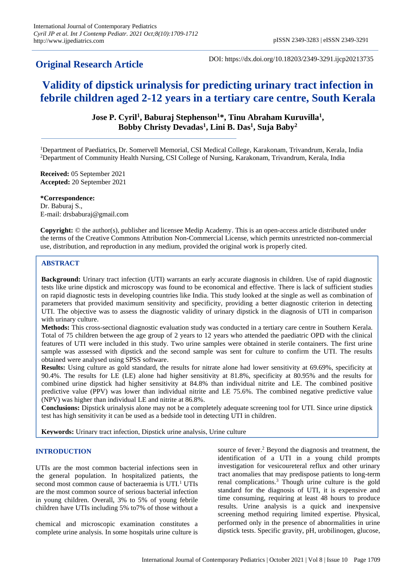# **Original Research Article**

DOI: https://dx.doi.org/10.18203/2349-3291.ijcp20213735

# **Validity of dipstick urinalysis for predicting urinary tract infection in febrile children aged 2-12 years in a tertiary care centre, South Kerala**

**Jose P. Cyril<sup>1</sup> , Baburaj Stephenson<sup>1</sup>\*, Tinu Abraham Kuruvilla<sup>1</sup> , Bobby Christy Devadas<sup>1</sup> , Lini B. Das<sup>1</sup> , Suja Baby<sup>2</sup>**

<sup>1</sup>Department of Paediatrics, Dr. Somervell Memorial, CSI Medical College, Karakonam, Trivandrum, Kerala, India <sup>2</sup>Department of Community Health Nursing, CSI College of Nursing, Karakonam, Trivandrum, Kerala, India

**Received:** 05 September 2021 **Accepted:** 20 September 2021

**\*Correspondence:** Dr. Baburaj S., E-mail: drsbaburaj@gmail.com

**Copyright:** © the author(s), publisher and licensee Medip Academy. This is an open-access article distributed under the terms of the Creative Commons Attribution Non-Commercial License, which permits unrestricted non-commercial use, distribution, and reproduction in any medium, provided the original work is properly cited.

# **ABSTRACT**

**Background:** Urinary tract infection (UTI) warrants an early accurate diagnosis in children. Use of rapid diagnostic tests like urine dipstick and microscopy was found to be economical and effective. There is lack of sufficient studies on rapid diagnostic tests in developing countries like India. This study looked at the single as well as combination of parameters that provided maximum sensitivity and specificity, providing a better diagnostic criterion in detecting UTI. The objective was to assess the diagnostic validity of urinary dipstick in the diagnosis of UTI in comparison with urinary culture.

**Methods:** This cross-sectional diagnostic evaluation study was conducted in a tertiary care centre in Southern Kerala. Total of 75 children between the age group of 2 years to 12 years who attended the paediatric OPD with the clinical features of UTI were included in this study. Two urine samples were obtained in sterile containers. The first urine sample was assessed with dipstick and the second sample was sent for culture to confirm the UTI. The results obtained were analysed using SPSS software.

**Results:** Using culture as gold standard, the results for nitrate alone had lower sensitivity at 69.69%, specificity at 90.4%. The results for LE (LE) alone had higher sensitivity at 81.8%, specificity at 80.95% and the results for combined urine dipstick had higher sensitivity at 84.8% than individual nitrite and LE. The combined positive predictive value (PPV) was lower than individual nitrite and LE 75.6%. The combined negative predictive value (NPV) was higher than individual LE and nitrite at 86.8%.

**Conclusions:** Dipstick urinalysis alone may not be a completely adequate screening tool for UTI. Since urine dipstick test has high sensitivity it can be used as a bedside tool in detecting UTI in children.

**Keywords:** Urinary tract infection, Dipstick urine analysis, Urine culture

# **INTRODUCTION**

UTIs are the most common bacterial infections seen in the general population. In hospitalized patients, the second most common cause of bacteraemia is UTI.<sup>1</sup> UTIs are the most common source of serious bacterial infection in young children. Overall, 3% to 5% of young febrile children have UTIs including 5% to7% of those without a

chemical and microscopic examination constitutes a complete urine analysis. In some hospitals urine culture is

source of fever. <sup>2</sup> Beyond the diagnosis and treatment, the identification of a UTI in a young child prompts investigation for vesicoureteral reflux and other urinary tract anomalies that may predispose patients to long-term renal complications.<sup>3</sup> Though urine culture is the gold standard for the diagnosis of UTI, it is expensive and time consuming, requiring at least 48 hours to produce results. Urine analysis is a quick and inexpensive screening method requiring limited expertise. Physical, performed only in the presence of abnormalities in urine dipstick tests. Specific gravity, pH, urobilinogen, glucose,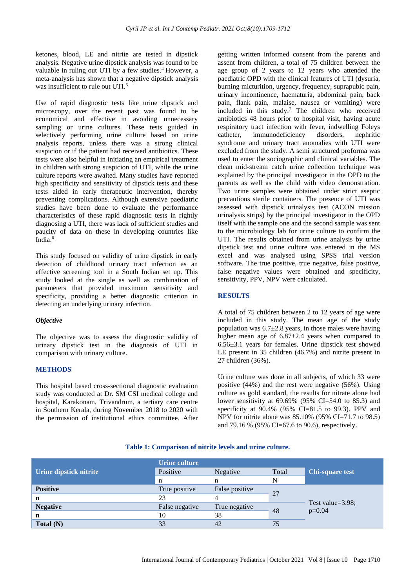ketones, blood, LE and nitrite are tested in dipstick analysis. Negative urine dipstick analysis was found to be valuable in ruling out UTI by a few studies.<sup>4</sup> However, a meta-analysis has shown that a negative dipstick analysis was insufficient to rule out UTI.<sup>5</sup>

Use of rapid diagnostic tests like urine dipstick and microscopy, over the recent past was found to be economical and effective in avoiding unnecessary sampling or urine cultures. These tests guided in selectively performing urine culture based on urine analysis reports, unless there was a strong clinical suspicion or if the patient had received antibiotics. These tests were also helpful in initiating an empirical treatment in children with strong suspicion of UTI, while the urine culture reports were awaited. Many studies have reported high specificity and sensitivity of dipstick tests and these tests aided in early therapeutic intervention, thereby preventing complications. Although extensive paediatric studies have been done to evaluate the performance characteristics of these rapid diagnostic tests in rightly diagnosing a UTI, there was lack of sufficient studies and paucity of data on these in developing countries like India.<sup>6</sup>

This study focused on validity of urine dipstick in early detection of childhood urinary tract infection as an effective screening tool in a South Indian set up. This study looked at the single as well as combination of parameters that provided maximum sensitivity and specificity, providing a better diagnostic criterion in detecting an underlying urinary infection.

#### *Objective*

The objective was to assess the diagnostic validity of urinary dipstick test in the diagnosis of UTI in comparison with urinary culture.

# **METHODS**

This hospital based cross-sectional diagnostic evaluation study was conducted at Dr. SM CSI medical college and hospital, Karakonam, Trivandrum, a tertiary care centre in Southern Kerala, during November 2018 to 2020 with the permission of institutional ethics committee. After getting written informed consent from the parents and assent from children, a total of 75 children between the age group of 2 years to 12 years who attended the paediatric OPD with the clinical features of UTI (dysuria, burning micturition, urgency, frequency, suprapubic pain, urinary incontinence, haematuria, abdominal pain, back pain, flank pain, malaise, nausea or vomiting) were included in this study.<sup>7</sup> The children who received antibiotics 48 hours prior to hospital visit, having acute respiratory tract infection with fever, indwelling Foleys catheter, immunodeficiency disorders, nephritic syndrome and urinary tract anomalies with UTI were excluded from the study. A semi structured proforma was used to enter the sociographic and clinical variables. The clean mid-stream catch urine collection technique was explained by the principal investigator in the OPD to the parents as well as the child with video demonstration. Two urine samples were obtained under strict aseptic precautions sterile containers. The presence of UTI was assessed with dipstick urinalysis test (ACON mission urinalysis strips) by the principal investigator in the OPD itself with the sample one and the second sample was sent to the microbiology lab for urine culture to confirm the UTI. The results obtained from urine analysis by urine dipstick test and urine culture was entered in the MS excel and was analysed using SPSS trial version software. The true positive, true negative, false positive, false negative values were obtained and specificity, sensitivity, PPV, NPV were calculated.

#### **RESULTS**

A total of 75 children between 2 to 12 years of age were included in this study. The mean age of the study population was  $6.7\pm2.8$  years, in those males were having higher mean age of 6.87±2.4 years when compared to 6.56±3.1 years for females. Urine dipstick test showed LE present in 35 children (46.7%) and nitrite present in 27 children (36%).

Urine culture was done in all subjects, of which 33 were positive (44%) and the rest were negative (56%). Using culture as gold standard, the results for nitrate alone had lower sensitivity at 69.69% (95% CI=54.0 to 85.3) and specificity at 90.4% (95% CI=81.5 to 99.3). PPV and NPV for nitrite alone was 85.10% (95% CI=71.7 to 98.5) and 79.16 % (95% CI=67.6 to 90.6), respectively.

# **Table 1: Comparison of nitrite levels and urine culture.**

|                               | <b>Urine culture</b> |                |       |                              |  |
|-------------------------------|----------------------|----------------|-------|------------------------------|--|
| <b>Urine dipstick nitrite</b> | Positive             | Negative       | Total | Chi-square test              |  |
|                               | n                    | n              | N     |                              |  |
| <b>Positive</b>               | True positive        | False positive | 27    | Test value=3.98;<br>$p=0.04$ |  |
| n                             | 23                   |                |       |                              |  |
| <b>Negative</b>               | False negative       | True negative  | 48    |                              |  |
| n                             | 10                   | 38             |       |                              |  |
| Total $(N)$                   | 33                   | 42             | 75    |                              |  |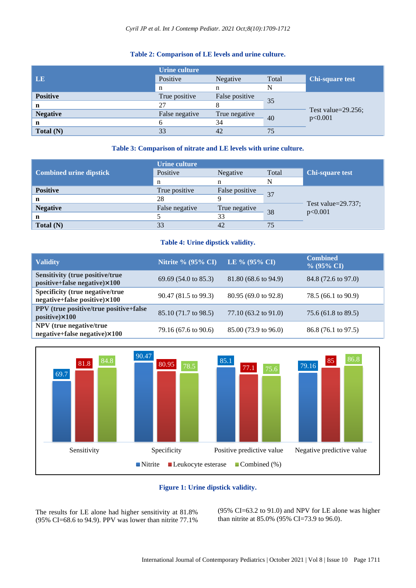# **Table 2: Comparison of LE levels and urine culture.**

|                 | Urine culture  |                |       |                                   |
|-----------------|----------------|----------------|-------|-----------------------------------|
| <b>LE</b>       | Positive       | Negative       | Total | <b>Chi-square test</b>            |
|                 | n              | n              | N     |                                   |
| <b>Positive</b> | True positive  | False positive | 35    | Test value= $29.256$ ;<br>p<0.001 |
| n               | 27             |                |       |                                   |
| <b>Negative</b> | False negative | True negative  | 40    |                                   |
| n               |                | 34             |       |                                   |
| Total $(N)$     | 33             | 42             | 75    |                                   |

#### **Table 3: Comparison of nitrate and LE levels with urine culture.**

|                                | Urine culture  |                |       |                                   |
|--------------------------------|----------------|----------------|-------|-----------------------------------|
| <b>Combined urine dipstick</b> | Positive       | Negative       | Total | <b>Chi-square test</b>            |
|                                | n              | n              | N     |                                   |
| <b>Positive</b>                | True positive  | False positive | 37    | Test value= $29.737$ ;<br>p<0.001 |
| n                              | 28             |                |       |                                   |
| <b>Negative</b>                | False negative | True negative  | 38    |                                   |
| n                              |                | 33             |       |                                   |
| Total $(N)$                    |                | 42             | 75    |                                   |

#### **Table 4: Urine dipstick validity.**

| <b>Validity</b>                                                        | <b>Nitrite % (95% CI)</b>      | LE % $(95\% \text{ CI})$ | <b>Combined</b><br>$% (95\% CI)$ |
|------------------------------------------------------------------------|--------------------------------|--------------------------|----------------------------------|
| <b>Sensitivity (true positive/true</b><br>positive+false negative)×100 | $69.69(54.0 \text{ to } 85.3)$ | 81.80 (68.6 to 94.9)     | 84.8 (72.6 to 97.0)              |
| Specificity (true negative/true<br>negative+false positive)×100        | 90.47 (81.5 to 99.3)           | 80.95 (69.0 to 92.8)     | 78.5 $(66.1 \text{ to } 90.9)$   |
| PPV (true positive/true positive+false<br>positive $\times 100$        | 85.10 (71.7 to 98.5)           | 77.10 (63.2 to 91.0)     | 75.6 (61.8 to 89.5)              |
| NPV (true negative/true<br>negative+false negative)×100                | 79.16 (67.6 to 90.6)           | 85.00 (73.9 to 96.0)     | 86.8 (76.1 to 97.5)              |



# **Figure 1: Urine dipstick validity.**

The results for LE alone had higher sensitivity at 81.8% (95% CI=68.6 to 94.9). PPV was lower than nitrite 77.1% (95% CI=63.2 to 91.0) and NPV for LE alone was higher than nitrite at 85.0% (95% CI=73.9 to 96.0).